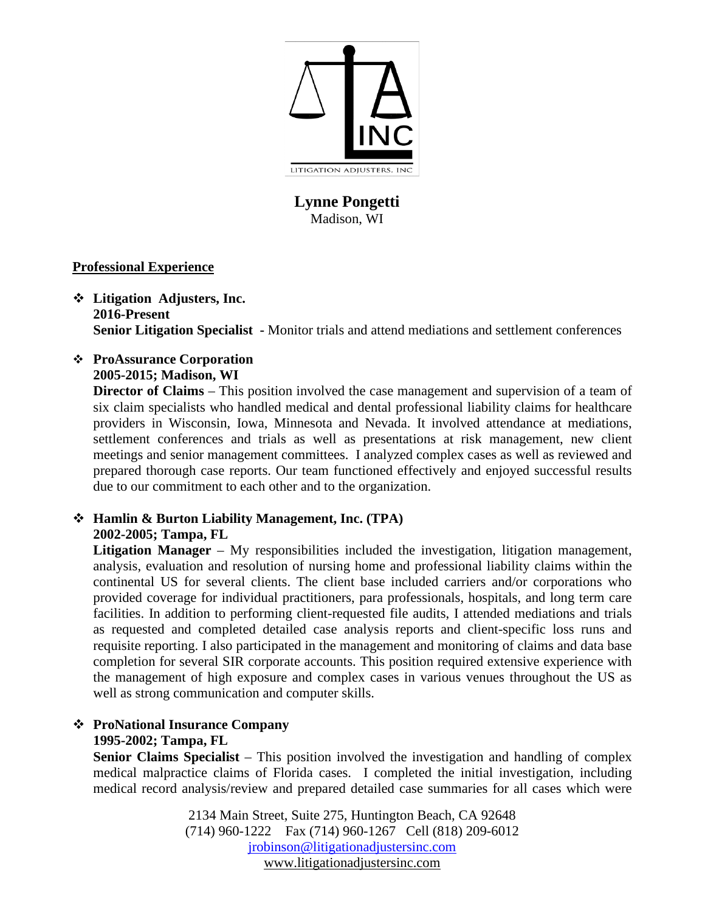

# **Lynne Pongetti** Madison, WI

### **Professional Experience**

- **Litigation Adjusters, Inc. 2016-Present Senior Litigation Specialist -** Monitor trials and attend mediations and settlement conferences
- **ProAssurance Corporation 2005-2015; Madison, WI**

**Director of Claims** – This position involved the case management and supervision of a team of six claim specialists who handled medical and dental professional liability claims for healthcare providers in Wisconsin, Iowa, Minnesota and Nevada. It involved attendance at mediations, settlement conferences and trials as well as presentations at risk management, new client meetings and senior management committees. I analyzed complex cases as well as reviewed and prepared thorough case reports. Our team functioned effectively and enjoyed successful results due to our commitment to each other and to the organization.

### **Hamlin & Burton Liability Management, Inc. (TPA) 2002-2005; Tampa, FL**

Litigation Manager – My responsibilities included the investigation, litigation management, analysis, evaluation and resolution of nursing home and professional liability claims within the continental US for several clients. The client base included carriers and/or corporations who provided coverage for individual practitioners, para professionals, hospitals, and long term care facilities. In addition to performing client-requested file audits, I attended mediations and trials as requested and completed detailed case analysis reports and client-specific loss runs and requisite reporting. I also participated in the management and monitoring of claims and data base completion for several SIR corporate accounts. This position required extensive experience with the management of high exposure and complex cases in various venues throughout the US as well as strong communication and computer skills.

# **ProNational Insurance Company 1995-2002; Tampa, FL**

**Senior Claims Specialist** – This position involved the investigation and handling of complex medical malpractice claims of Florida cases. I completed the initial investigation, including medical record analysis/review and prepared detailed case summaries for all cases which were

> 2134 Main Street, Suite 275, Huntington Beach, CA 92648 (714) 960-1222 Fax (714) 960-1267 Cell (818) 209-6012 [jrobinson@litigationadjustersinc.com](mailto:jrobinson@litigationadjustersinc.com) www.litigationadjustersinc.com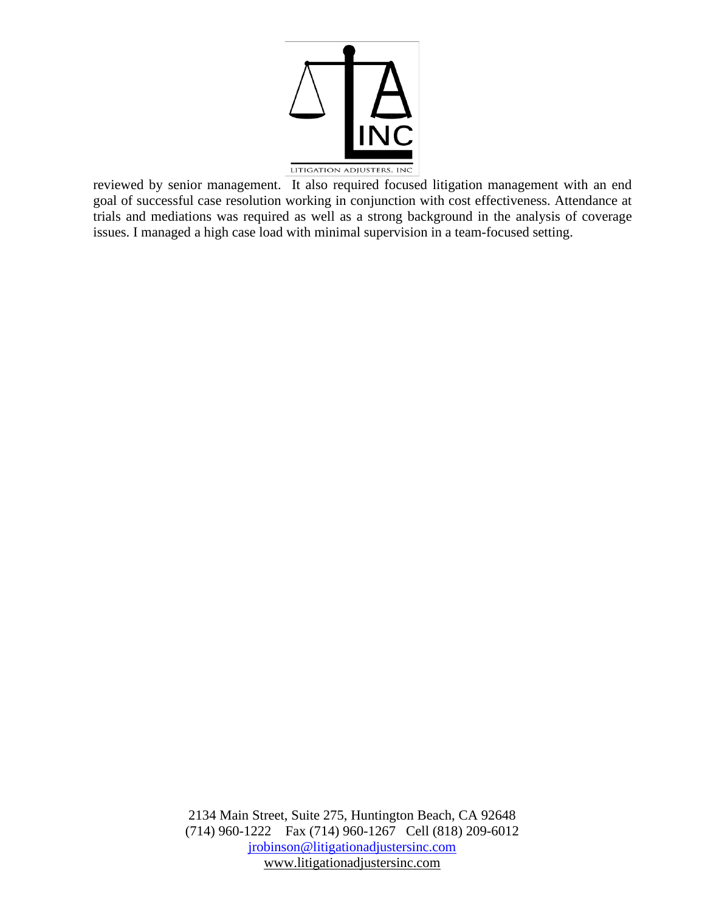

reviewed by senior management. It also required focused litigation management with an end goal of successful case resolution working in conjunction with cost effectiveness. Attendance at trials and mediations was required as well as a strong background in the analysis of coverage issues. I managed a high case load with minimal supervision in a team-focused setting.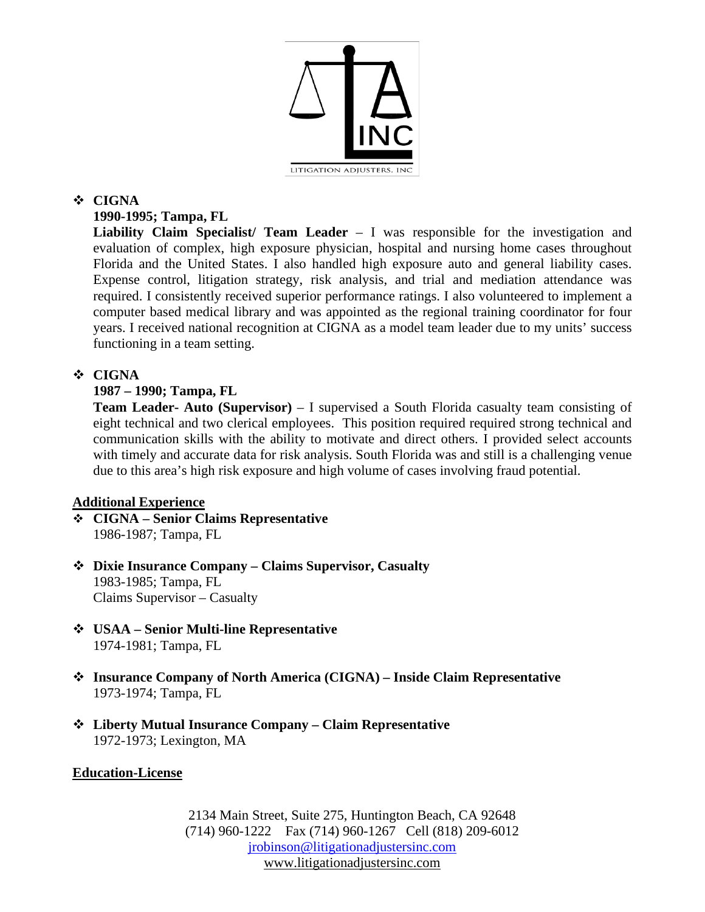

### **CIGNA**

# **1990-1995; Tampa, FL**

**Liability Claim Specialist/ Team Leader** – I was responsible for the investigation and evaluation of complex, high exposure physician, hospital and nursing home cases throughout Florida and the United States. I also handled high exposure auto and general liability cases. Expense control, litigation strategy, risk analysis, and trial and mediation attendance was required. I consistently received superior performance ratings. I also volunteered to implement a computer based medical library and was appointed as the regional training coordinator for four years. I received national recognition at CIGNA as a model team leader due to my units' success functioning in a team setting.

# **CIGNA**

### **1987 – 1990; Tampa, FL**

**Team Leader- Auto (Supervisor)** – I supervised a South Florida casualty team consisting of eight technical and two clerical employees. This position required required strong technical and communication skills with the ability to motivate and direct others. I provided select accounts with timely and accurate data for risk analysis. South Florida was and still is a challenging venue due to this area's high risk exposure and high volume of cases involving fraud potential.

#### **Additional Experience**

- **CIGNA – Senior Claims Representative** 1986-1987; Tampa, FL
- **Dixie Insurance Company – Claims Supervisor, Casualty** 1983-1985; Tampa, FL Claims Supervisor – Casualty
- **USAA – Senior Multi-line Representative** 1974-1981; Tampa, FL
- **Insurance Company of North America (CIGNA) – Inside Claim Representative** 1973-1974; Tampa, FL
- **Liberty Mutual Insurance Company – Claim Representative** 1972-1973; Lexington, MA

### **Education-License**

2134 Main Street, Suite 275, Huntington Beach, CA 92648 (714) 960-1222 Fax (714) 960-1267 Cell (818) 209-6012 [jrobinson@litigationadjustersinc.com](mailto:jrobinson@litigationadjustersinc.com) www.litigationadjustersinc.com